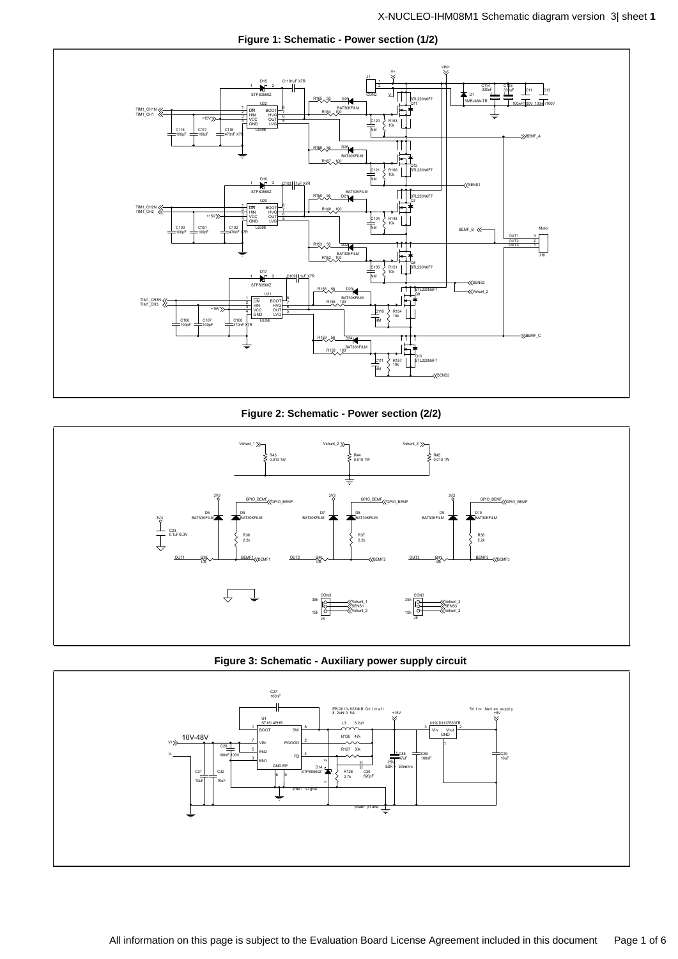

**Figure 1: Schematic - Power section (1/2)**

**Figure 2: Schematic - Power section (2/2)**





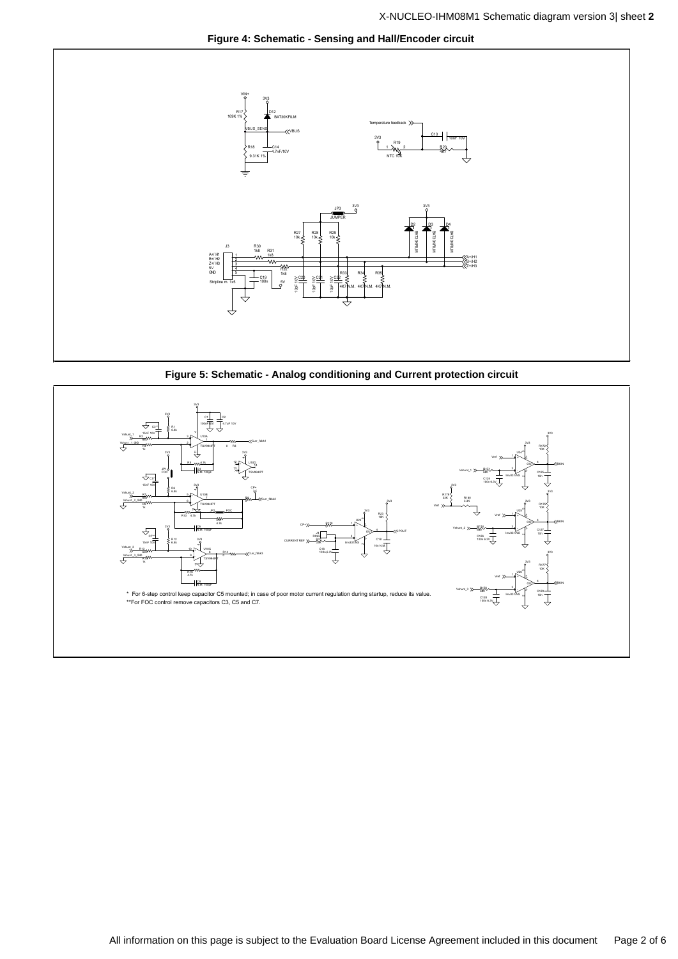



**Figure 5: Schematic - Analog conditioning and Current protection circuit**

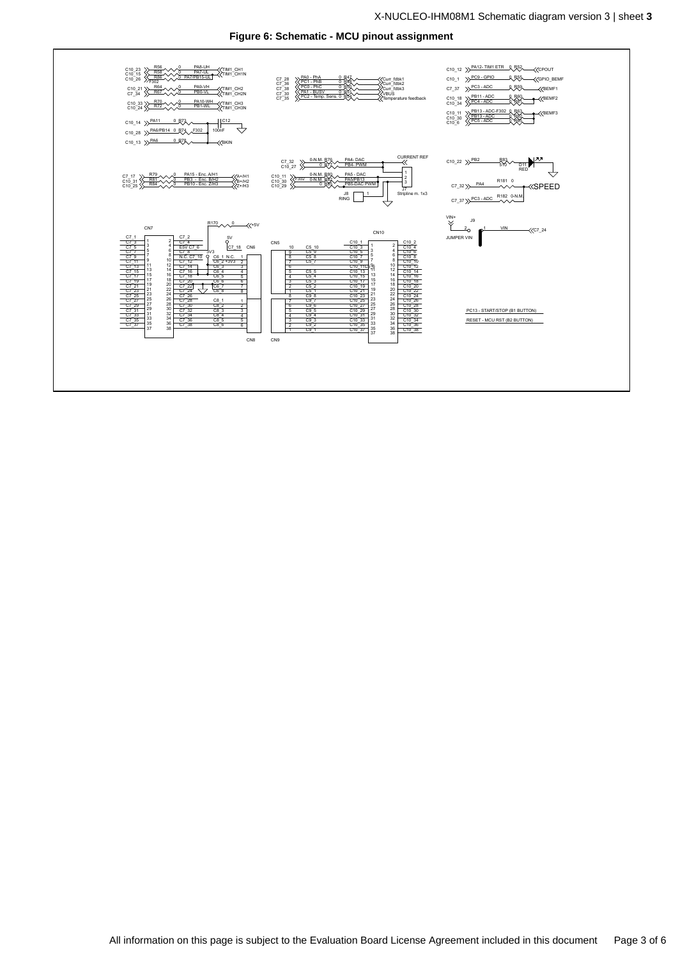

**Figure 6: Schematic - MCU pinout assignment**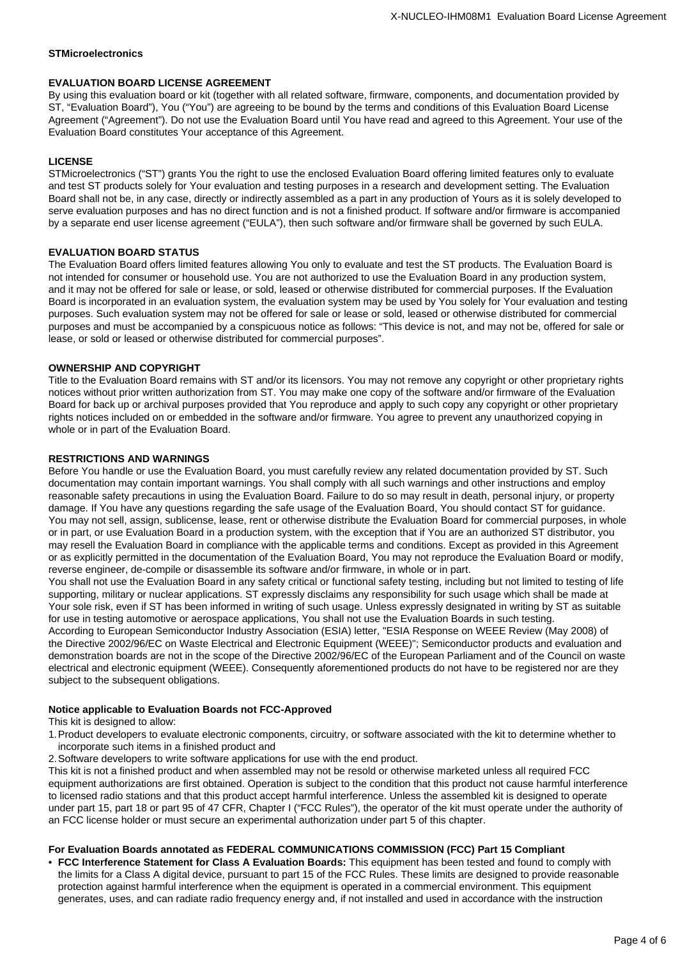### **STMicroelectronics**

### **EVALUATION BOARD LICENSE AGREEMENT**

By using this evaluation board or kit (together with all related software, firmware, components, and documentation provided by ST, "Evaluation Board"), You ("You") are agreeing to be bound by the terms and conditions of this Evaluation Board License Agreement ("Agreement"). Do not use the Evaluation Board until You have read and agreed to this Agreement. Your use of the Evaluation Board constitutes Your acceptance of this Agreement.

## **LICENSE**

STMicroelectronics ("ST") grants You the right to use the enclosed Evaluation Board offering limited features only to evaluate and test ST products solely for Your evaluation and testing purposes in a research and development setting. The Evaluation Board shall not be, in any case, directly or indirectly assembled as a part in any production of Yours as it is solely developed to serve evaluation purposes and has no direct function and is not a finished product. If software and/or firmware is accompanied by a separate end user license agreement ("EULA"), then such software and/or firmware shall be governed by such EULA.

#### **EVALUATION BOARD STATUS**

The Evaluation Board offers limited features allowing You only to evaluate and test the ST products. The Evaluation Board is not intended for consumer or household use. You are not authorized to use the Evaluation Board in any production system, and it may not be offered for sale or lease, or sold, leased or otherwise distributed for commercial purposes. If the Evaluation Board is incorporated in an evaluation system, the evaluation system may be used by You solely for Your evaluation and testing purposes. Such evaluation system may not be offered for sale or lease or sold, leased or otherwise distributed for commercial purposes and must be accompanied by a conspicuous notice as follows: "This device is not, and may not be, offered for sale or lease, or sold or leased or otherwise distributed for commercial purposes".

## **OWNERSHIP AND COPYRIGHT**

Title to the Evaluation Board remains with ST and/or its licensors. You may not remove any copyright or other proprietary rights notices without prior written authorization from ST. You may make one copy of the software and/or firmware of the Evaluation Board for back up or archival purposes provided that You reproduce and apply to such copy any copyright or other proprietary rights notices included on or embedded in the software and/or firmware. You agree to prevent any unauthorized copying in whole or in part of the Evaluation Board.

#### **RESTRICTIONS AND WARNINGS**

Before You handle or use the Evaluation Board, you must carefully review any related documentation provided by ST. Such documentation may contain important warnings. You shall comply with all such warnings and other instructions and employ reasonable safety precautions in using the Evaluation Board. Failure to do so may result in death, personal injury, or property damage. If You have any questions regarding the safe usage of the Evaluation Board, You should contact ST for guidance. You may not sell, assign, sublicense, lease, rent or otherwise distribute the Evaluation Board for commercial purposes, in whole or in part, or use Evaluation Board in a production system, with the exception that if You are an authorized ST distributor, you may resell the Evaluation Board in compliance with the applicable terms and conditions. Except as provided in this Agreement or as explicitly permitted in the documentation of the Evaluation Board, You may not reproduce the Evaluation Board or modify, reverse engineer, de-compile or disassemble its software and/or firmware, in whole or in part.

You shall not use the Evaluation Board in any safety critical or functional safety testing, including but not limited to testing of life supporting, military or nuclear applications. ST expressly disclaims any responsibility for such usage which shall be made at Your sole risk, even if ST has been informed in writing of such usage. Unless expressly designated in writing by ST as suitable for use in testing automotive or aerospace applications, You shall not use the Evaluation Boards in such testing.

According to European Semiconductor Industry Association (ESIA) letter, "ESIA Response on WEEE Review (May 2008) of the Directive 2002/96/EC on Waste Electrical and Electronic Equipment (WEEE)"; Semiconductor products and evaluation and demonstration boards are not in the scope of the Directive 2002/96/EC of the European Parliament and of the Council on waste electrical and electronic equipment (WEEE). Consequently aforementioned products do not have to be registered nor are they subject to the subsequent obligations.

#### **Notice applicable to Evaluation Boards not FCC-Approved**

This kit is designed to allow:

- 1.Product developers to evaluate electronic components, circuitry, or software associated with the kit to determine whether to incorporate such items in a finished product and
- 2.Software developers to write software applications for use with the end product.

This kit is not a finished product and when assembled may not be resold or otherwise marketed unless all required FCC equipment authorizations are first obtained. Operation is subject to the condition that this product not cause harmful interference to licensed radio stations and that this product accept harmful interference. Unless the assembled kit is designed to operate under part 15, part 18 or part 95 of 47 CFR, Chapter I ("FCC Rules"), the operator of the kit must operate under the authority of an FCC license holder or must secure an experimental authorization under part 5 of this chapter.

## **For Evaluation Boards annotated as FEDERAL COMMUNICATIONS COMMISSION (FCC) Part 15 Compliant**

• **FCC Interference Statement for Class A Evaluation Boards:** This equipment has been tested and found to comply with the limits for a Class A digital device, pursuant to part 15 of the FCC Rules. These limits are designed to provide reasonable protection against harmful interference when the equipment is operated in a commercial environment. This equipment generates, uses, and can radiate radio frequency energy and, if not installed and used in accordance with the instruction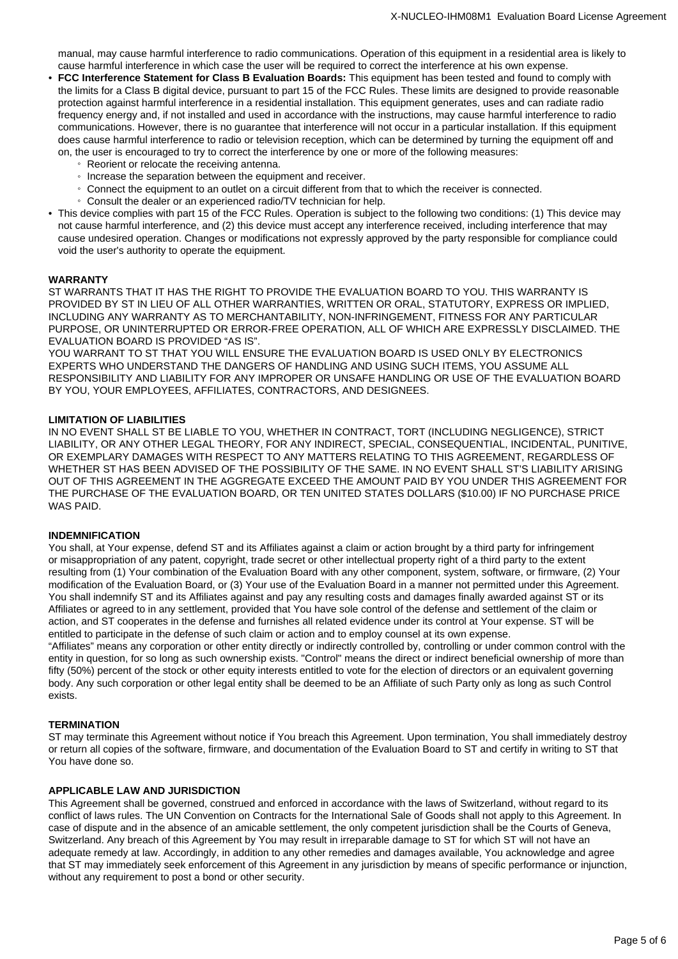manual, may cause harmful interference to radio communications. Operation of this equipment in a residential area is likely to cause harmful interference in which case the user will be required to correct the interference at his own expense.

- **FCC Interference Statement for Class B Evaluation Boards:** This equipment has been tested and found to comply with the limits for a Class B digital device, pursuant to part 15 of the FCC Rules. These limits are designed to provide reasonable protection against harmful interference in a residential installation. This equipment generates, uses and can radiate radio frequency energy and, if not installed and used in accordance with the instructions, may cause harmful interference to radio communications. However, there is no guarantee that interference will not occur in a particular installation. If this equipment does cause harmful interference to radio or television reception, which can be determined by turning the equipment off and on, the user is encouraged to try to correct the interference by one or more of the following measures:
	- Reorient or relocate the receiving antenna.
	- Increase the separation between the equipment and receiver.
	- Connect the equipment to an outlet on a circuit different from that to which the receiver is connected.
	- Consult the dealer or an experienced radio/TV technician for help.
- This device complies with part 15 of the FCC Rules. Operation is subject to the following two conditions: (1) This device may not cause harmful interference, and (2) this device must accept any interference received, including interference that may cause undesired operation. Changes or modifications not expressly approved by the party responsible for compliance could void the user's authority to operate the equipment.

#### **WARRANTY**

ST WARRANTS THAT IT HAS THE RIGHT TO PROVIDE THE EVALUATION BOARD TO YOU. THIS WARRANTY IS PROVIDED BY ST IN LIEU OF ALL OTHER WARRANTIES, WRITTEN OR ORAL, STATUTORY, EXPRESS OR IMPLIED, INCLUDING ANY WARRANTY AS TO MERCHANTABILITY, NON-INFRINGEMENT, FITNESS FOR ANY PARTICULAR PURPOSE, OR UNINTERRUPTED OR ERROR-FREE OPERATION, ALL OF WHICH ARE EXPRESSLY DISCLAIMED. THE EVALUATION BOARD IS PROVIDED "AS IS".

YOU WARRANT TO ST THAT YOU WILL ENSURE THE EVALUATION BOARD IS USED ONLY BY ELECTRONICS EXPERTS WHO UNDERSTAND THE DANGERS OF HANDLING AND USING SUCH ITEMS, YOU ASSUME ALL RESPONSIBILITY AND LIABILITY FOR ANY IMPROPER OR UNSAFE HANDLING OR USE OF THE EVALUATION BOARD BY YOU, YOUR EMPLOYEES, AFFILIATES, CONTRACTORS, AND DESIGNEES.

## **LIMITATION OF LIABILITIES**

IN NO EVENT SHALL ST BE LIABLE TO YOU, WHETHER IN CONTRACT, TORT (INCLUDING NEGLIGENCE), STRICT LIABILITY, OR ANY OTHER LEGAL THEORY, FOR ANY INDIRECT, SPECIAL, CONSEQUENTIAL, INCIDENTAL, PUNITIVE, OR EXEMPLARY DAMAGES WITH RESPECT TO ANY MATTERS RELATING TO THIS AGREEMENT, REGARDLESS OF WHETHER ST HAS BEEN ADVISED OF THE POSSIBILITY OF THE SAME. IN NO EVENT SHALL ST'S LIABILITY ARISING OUT OF THIS AGREEMENT IN THE AGGREGATE EXCEED THE AMOUNT PAID BY YOU UNDER THIS AGREEMENT FOR THE PURCHASE OF THE EVALUATION BOARD, OR TEN UNITED STATES DOLLARS (\$10.00) IF NO PURCHASE PRICE WAS PAID.

## **INDEMNIFICATION**

You shall, at Your expense, defend ST and its Affiliates against a claim or action brought by a third party for infringement or misappropriation of any patent, copyright, trade secret or other intellectual property right of a third party to the extent resulting from (1) Your combination of the Evaluation Board with any other component, system, software, or firmware, (2) Your modification of the Evaluation Board, or (3) Your use of the Evaluation Board in a manner not permitted under this Agreement. You shall indemnify ST and its Affiliates against and pay any resulting costs and damages finally awarded against ST or its Affiliates or agreed to in any settlement, provided that You have sole control of the defense and settlement of the claim or action, and ST cooperates in the defense and furnishes all related evidence under its control at Your expense. ST will be entitled to participate in the defense of such claim or action and to employ counsel at its own expense.

"Affiliates" means any corporation or other entity directly or indirectly controlled by, controlling or under common control with the entity in question, for so long as such ownership exists. "Control" means the direct or indirect beneficial ownership of more than fifty (50%) percent of the stock or other equity interests entitled to vote for the election of directors or an equivalent governing body. Any such corporation or other legal entity shall be deemed to be an Affiliate of such Party only as long as such Control exists.

#### **TERMINATION**

ST may terminate this Agreement without notice if You breach this Agreement. Upon termination, You shall immediately destroy or return all copies of the software, firmware, and documentation of the Evaluation Board to ST and certify in writing to ST that You have done so.

# **APPLICABLE LAW AND JURISDICTION**

This Agreement shall be governed, construed and enforced in accordance with the laws of Switzerland, without regard to its conflict of laws rules. The UN Convention on Contracts for the International Sale of Goods shall not apply to this Agreement. In case of dispute and in the absence of an amicable settlement, the only competent jurisdiction shall be the Courts of Geneva, Switzerland. Any breach of this Agreement by You may result in irreparable damage to ST for which ST will not have an adequate remedy at law. Accordingly, in addition to any other remedies and damages available, You acknowledge and agree that ST may immediately seek enforcement of this Agreement in any jurisdiction by means of specific performance or injunction, without any requirement to post a bond or other security.